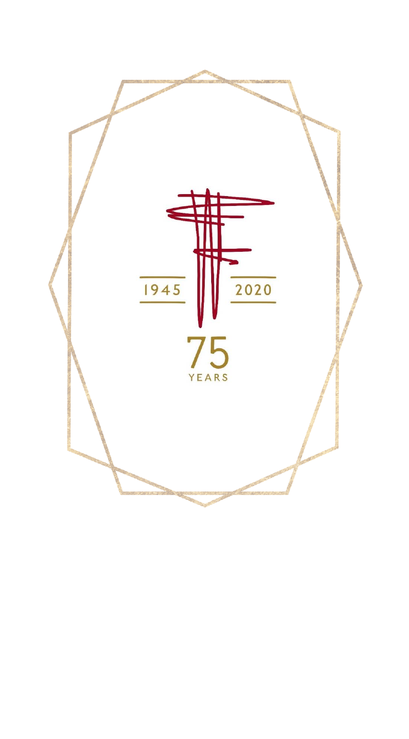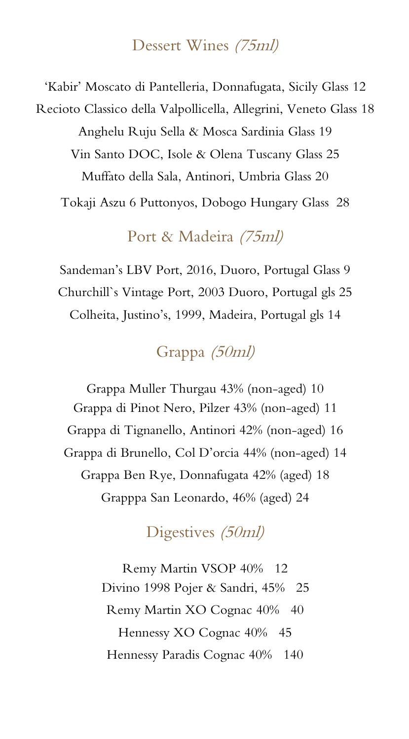#### Dessert Wines (75ml)

'Kabir' Moscato di Pantelleria, Donnafugata, Sicily Glass 12 Recioto Classico della Valpollicella, Allegrini, Veneto Glass 18 Anghelu Ruju Sella & Mosca Sardinia Glass 19 Vin Santo DOC, Isole & Olena Tuscany Glass 25 Muffato della Sala, Antinori, Umbria Glass 20 Tokaji Aszu 6 Puttonyos, Dobogo Hungary Glass 28

Port & Madeira (75ml)

Sandeman's LBV Port, 2016, Duoro, Portugal Glass 9 Churchill`s Vintage Port, 2003 Duoro, Portugal gls 25 Colheita, Justino's, 1999, Madeira, Portugal gls 14

# Grappa (50ml)

Grappa Muller Thurgau 43% (non-aged) 10 Grappa di Pinot Nero, Pilzer 43% (non-aged) 11 Grappa di Tignanello, Antinori 42% (non-aged) 16 Grappa di Brunello, Col D'orcia 44% (non-aged) 14 Grappa Ben Rye, Donnafugata 42% (aged) 18 Grapppa San Leonardo, 46% (aged) 24

# Digestives (50ml)

Remy Martin VSOP 40% 12 Divino 1998 Pojer & Sandri, 45% 25 Remy Martin XO Cognac 40% 40 Hennessy XO Cognac 40% 45 Hennessy Paradis Cognac 40% 140